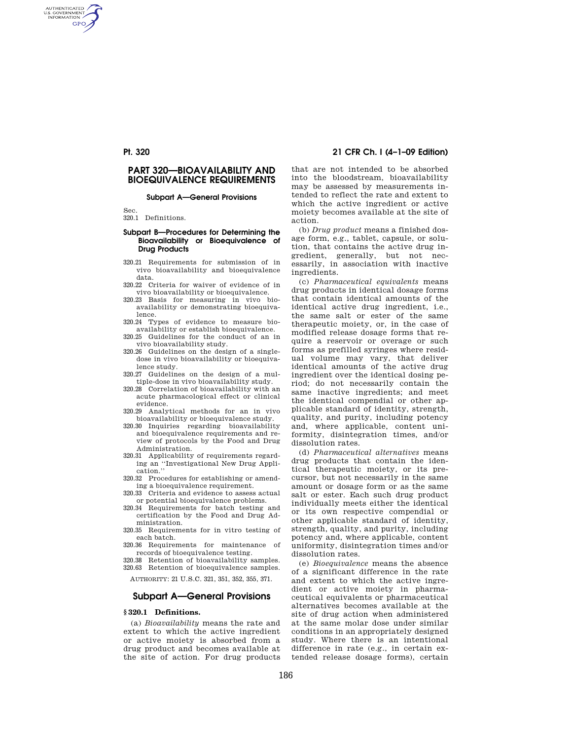# **PART 320—BIOAVAILABILITY AND BIOEQUIVALENCE REQUIREMENTS**

### **Subpart A—General Provisions**

Sec.

AUTHENTICATED<br>U.S. GOVERNMENT<br>INFORMATION **GPO** 

320.1 Definitions.

#### **Subpart B—Procedures for Determining the Bioavailability or Bioequivalence of Drug Products**

- 320.21 Requirements for submission of in vivo bioavailability and bioequivalence data.
- 320.22 Criteria for waiver of evidence of in vivo bioavailability or bioequivalence.
- 320.23 Basis for measuring in vivo bioavailability or demonstrating bioequivalence.
- 320.24 Types of evidence to measure bioavailability or establish bioequivalence.
- 320.25 Guidelines for the conduct of an in vivo bioavailability study.
- 320.26 Guidelines on the design of a singledose in vivo bioavailability or bioequivalence study.
- 320.27 Guidelines on the design of a multiple-dose in vivo bioavailability study.
- 320.28 Correlation of bioavailability with an acute pharmacological effect or clinical evidence.
- 320.29 Analytical methods for an in vivo bioavailability or bioequivalence study.
- 320.30 Inquiries regarding bioavailability and bioequivalence requirements and review of protocols by the Food and Drug Administration.
- 320.31 Applicability of requirements regarding an ''Investigational New Drug Application.''
- 320.32 Procedures for establishing or amending a bioequivalence requirement.
- 320.33 Criteria and evidence to assess actual or potential bioequivalence problems.
- 320.34 Requirements for batch testing and certification by the Food and Drug Administration.
- 320.35 Requirements for in vitro testing of each batch.
- 320.36 Requirements for maintenance of records of bioequivalence testing.
- 320.38 Retention of bioavailability samples. 320.63 Retention of bioequivalence samples.

AUTHORITY: 21 U.S.C. 321, 351, 352, 355, 371.

# **Subpart A—General Provisions**

# **§ 320.1 Definitions.**

(a) *Bioavailability* means the rate and extent to which the active ingredient or active moiety is absorbed from a drug product and becomes available at the site of action. For drug products

**Pt. 320 21 CFR Ch. I (4–1–09 Edition)** 

that are not intended to be absorbed into the bloodstream, bioavailability may be assessed by measurements intended to reflect the rate and extent to which the active ingredient or active moiety becomes available at the site of action.

(b) *Drug product* means a finished dosage form, e.g., tablet, capsule, or solution, that contains the active drug ingredient, generally, but not necessarily, in association with inactive ingredients.

(c) *Pharmaceutical equivalents* means drug products in identical dosage forms that contain identical amounts of the identical active drug ingredient, i.e., the same salt or ester of the same therapeutic moiety, or, in the case of modified release dosage forms that require a reservoir or overage or such forms as prefilled syringes where residual volume may vary, that deliver identical amounts of the active drug ingredient over the identical dosing period; do not necessarily contain the same inactive ingredients; and meet the identical compendial or other applicable standard of identity, strength, quality, and purity, including potency and, where applicable, content uniformity, disintegration times, and/or dissolution rates.

(d) *Pharmaceutical alternatives* means drug products that contain the identical therapeutic moiety, or its precursor, but not necessarily in the same amount or dosage form or as the same salt or ester. Each such drug product individually meets either the identical or its own respective compendial or other applicable standard of identity, strength, quality, and purity, including potency and, where applicable, content uniformity, disintegration times and/or dissolution rates.

(e) *Bioequivalence* means the absence of a significant difference in the rate and extent to which the active ingredient or active moiety in pharmaceutical equivalents or pharmaceutical alternatives becomes available at the site of drug action when administered at the same molar dose under similar conditions in an appropriately designed study. Where there is an intentional difference in rate (e.g., in certain extended release dosage forms), certain